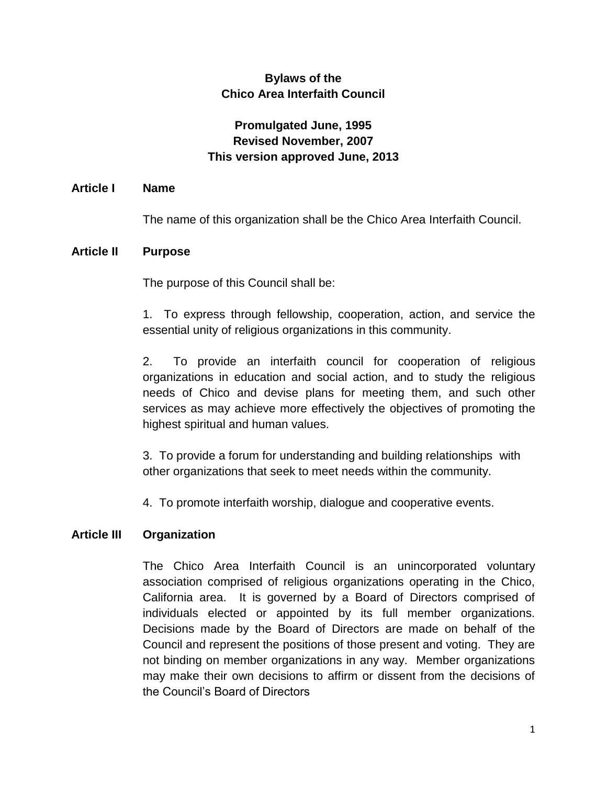## **Bylaws of the Chico Area Interfaith Council**

# **Promulgated June, 1995 Revised November, 2007 This version approved June, 2013**

### **Article I Name**

The name of this organization shall be the Chico Area Interfaith Council.

#### **Article II Purpose**

The purpose of this Council shall be:

1. To express through fellowship, cooperation, action, and service the essential unity of religious organizations in this community.

2. To provide an interfaith council for cooperation of religious organizations in education and social action, and to study the religious needs of Chico and devise plans for meeting them, and such other services as may achieve more effectively the objectives of promoting the highest spiritual and human values.

3. To provide a forum for understanding and building relationships with other organizations that seek to meet needs within the community.

4. To promote interfaith worship, dialogue and cooperative events.

#### **Article III Organization**

The Chico Area Interfaith Council is an unincorporated voluntary association comprised of religious organizations operating in the Chico, California area. It is governed by a Board of Directors comprised of individuals elected or appointed by its full member organizations. Decisions made by the Board of Directors are made on behalf of the Council and represent the positions of those present and voting. They are not binding on member organizations in any way. Member organizations may make their own decisions to affirm or dissent from the decisions of the Council's Board of Directors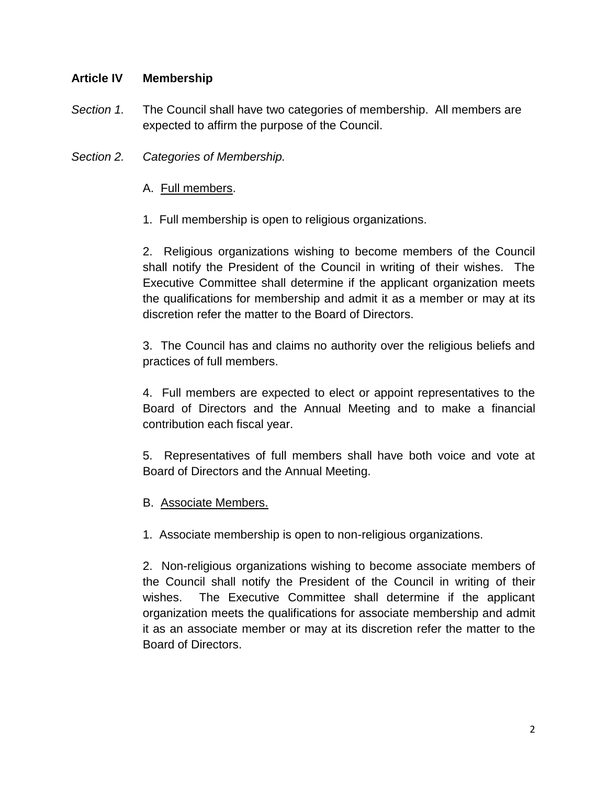### **Article IV Membership**

- *Section 1.* The Council shall have two categories of membership. All members are expected to affirm the purpose of the Council.
- *Section 2. Categories of Membership.*

### A. Full members.

1. Full membership is open to religious organizations.

2. Religious organizations wishing to become members of the Council shall notify the President of the Council in writing of their wishes. The Executive Committee shall determine if the applicant organization meets the qualifications for membership and admit it as a member or may at its discretion refer the matter to the Board of Directors.

3. The Council has and claims no authority over the religious beliefs and practices of full members.

4. Full members are expected to elect or appoint representatives to the Board of Directors and the Annual Meeting and to make a financial contribution each fiscal year.

5. Representatives of full members shall have both voice and vote at Board of Directors and the Annual Meeting.

B. Associate Members.

1. Associate membership is open to non-religious organizations.

2. Non-religious organizations wishing to become associate members of the Council shall notify the President of the Council in writing of their wishes. The Executive Committee shall determine if the applicant organization meets the qualifications for associate membership and admit it as an associate member or may at its discretion refer the matter to the Board of Directors.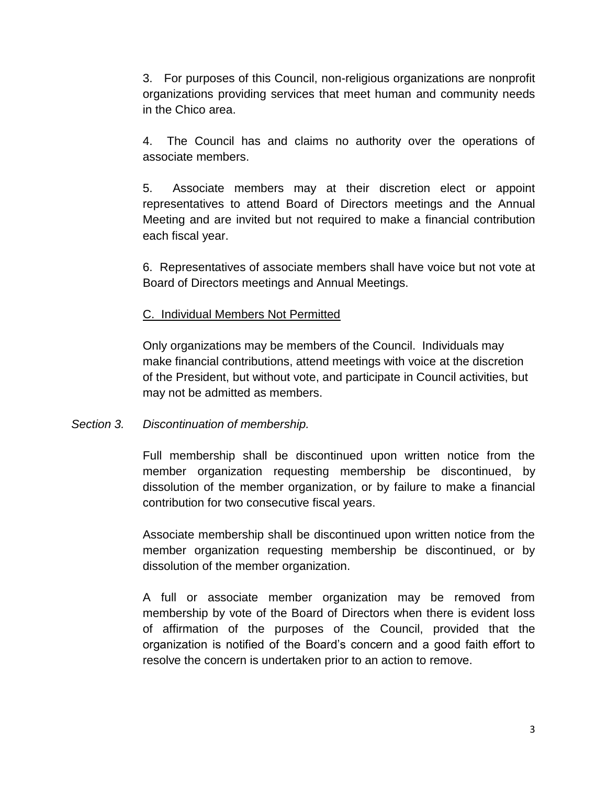3. For purposes of this Council, non-religious organizations are nonprofit organizations providing services that meet human and community needs in the Chico area.

4. The Council has and claims no authority over the operations of associate members.

5. Associate members may at their discretion elect or appoint representatives to attend Board of Directors meetings and the Annual Meeting and are invited but not required to make a financial contribution each fiscal year.

6. Representatives of associate members shall have voice but not vote at Board of Directors meetings and Annual Meetings.

#### C. Individual Members Not Permitted

Only organizations may be members of the Council. Individuals may make financial contributions, attend meetings with voice at the discretion of the President, but without vote, and participate in Council activities, but may not be admitted as members.

*Section 3. Discontinuation of membership.*

Full membership shall be discontinued upon written notice from the member organization requesting membership be discontinued, by dissolution of the member organization, or by failure to make a financial contribution for two consecutive fiscal years.

Associate membership shall be discontinued upon written notice from the member organization requesting membership be discontinued, or by dissolution of the member organization.

A full or associate member organization may be removed from membership by vote of the Board of Directors when there is evident loss of affirmation of the purposes of the Council, provided that the organization is notified of the Board's concern and a good faith effort to resolve the concern is undertaken prior to an action to remove.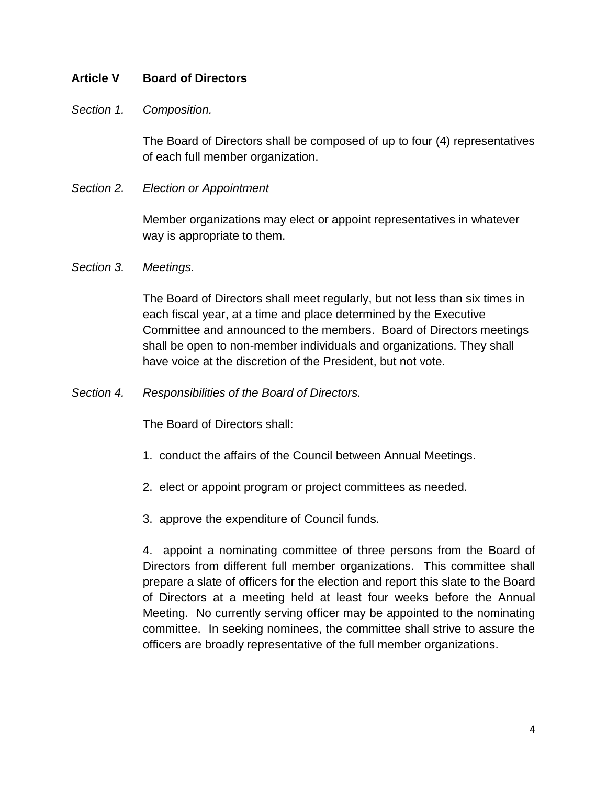### **Article V Board of Directors**

#### *Section 1. Composition.*

The Board of Directors shall be composed of up to four (4) representatives of each full member organization.

*Section 2. Election or Appointment*

Member organizations may elect or appoint representatives in whatever way is appropriate to them.

#### *Section 3. Meetings.*

The Board of Directors shall meet regularly, but not less than six times in each fiscal year, at a time and place determined by the Executive Committee and announced to the members. Board of Directors meetings shall be open to non-member individuals and organizations. They shall have voice at the discretion of the President, but not vote.

*Section 4. Responsibilities of the Board of Directors.*

The Board of Directors shall:

- 1. conduct the affairs of the Council between Annual Meetings.
- 2. elect or appoint program or project committees as needed.
- 3. approve the expenditure of Council funds.

4. appoint a nominating committee of three persons from the Board of Directors from different full member organizations. This committee shall prepare a slate of officers for the election and report this slate to the Board of Directors at a meeting held at least four weeks before the Annual Meeting. No currently serving officer may be appointed to the nominating committee. In seeking nominees, the committee shall strive to assure the officers are broadly representative of the full member organizations.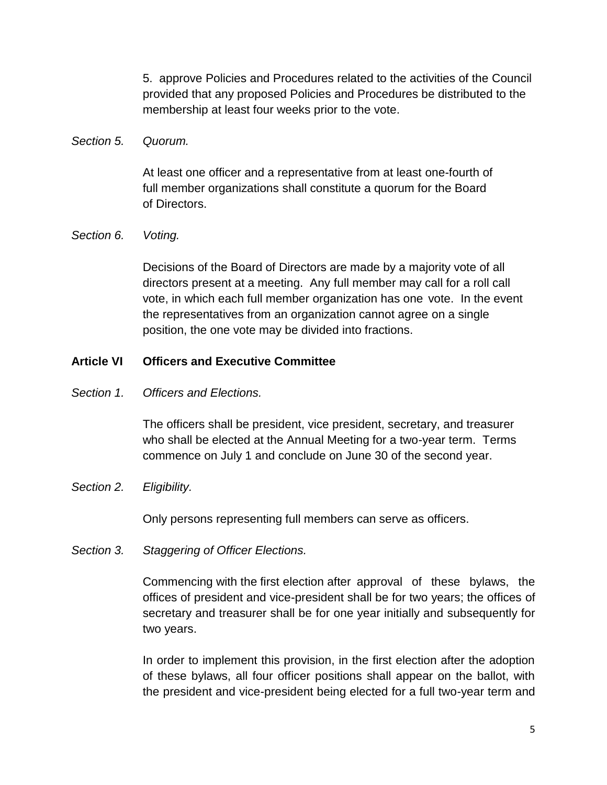5. approve Policies and Procedures related to the activities of the Council provided that any proposed Policies and Procedures be distributed to the membership at least four weeks prior to the vote.

#### *Section 5. Quorum.*

At least one officer and a representative from at least one-fourth of full member organizations shall constitute a quorum for the Board of Directors.

#### *Section 6. Voting.*

Decisions of the Board of Directors are made by a majority vote of all directors present at a meeting. Any full member may call for a roll call vote, in which each full member organization has one vote. In the event the representatives from an organization cannot agree on a single position, the one vote may be divided into fractions.

#### **Article VI Officers and Executive Committee**

*Section 1. Officers and Elections.*

The officers shall be president, vice president, secretary, and treasurer who shall be elected at the Annual Meeting for a two-year term. Terms commence on July 1 and conclude on June 30 of the second year.

#### *Section 2. Eligibility.*

Only persons representing full members can serve as officers.

*Section 3. Staggering of Officer Elections.*

Commencing with the first election after approval of these bylaws, the offices of president and vice-president shall be for two years; the offices of secretary and treasurer shall be for one year initially and subsequently for two years.

In order to implement this provision, in the first election after the adoption of these bylaws, all four officer positions shall appear on the ballot, with the president and vice-president being elected for a full two-year term and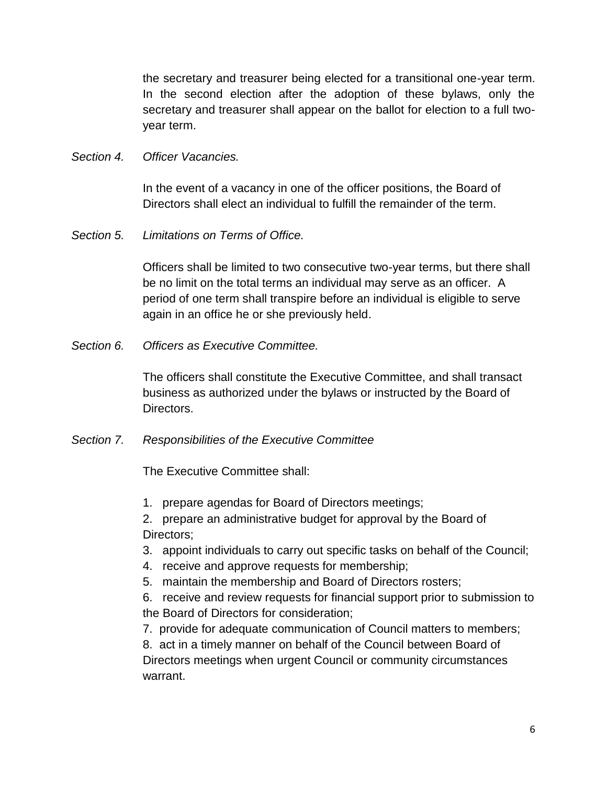the secretary and treasurer being elected for a transitional one-year term. In the second election after the adoption of these bylaws, only the secretary and treasurer shall appear on the ballot for election to a full twoyear term.

### *Section 4. Officer Vacancies.*

In the event of a vacancy in one of the officer positions, the Board of Directors shall elect an individual to fulfill the remainder of the term.

*Section 5. Limitations on Terms of Office.*

Officers shall be limited to two consecutive two-year terms, but there shall be no limit on the total terms an individual may serve as an officer. A period of one term shall transpire before an individual is eligible to serve again in an office he or she previously held.

*Section 6. Officers as Executive Committee.*

The officers shall constitute the Executive Committee, and shall transact business as authorized under the bylaws or instructed by the Board of Directors.

#### *Section 7. Responsibilities of the Executive Committee*

The Executive Committee shall:

- 1. prepare agendas for Board of Directors meetings;
- 2. prepare an administrative budget for approval by the Board of Directors;
- 3. appoint individuals to carry out specific tasks on behalf of the Council;
- 4. receive and approve requests for membership;
- 5. maintain the membership and Board of Directors rosters;

6. receive and review requests for financial support prior to submission to the Board of Directors for consideration;

7. provide for adequate communication of Council matters to members;

8. act in a timely manner on behalf of the Council between Board of Directors meetings when urgent Council or community circumstances warrant.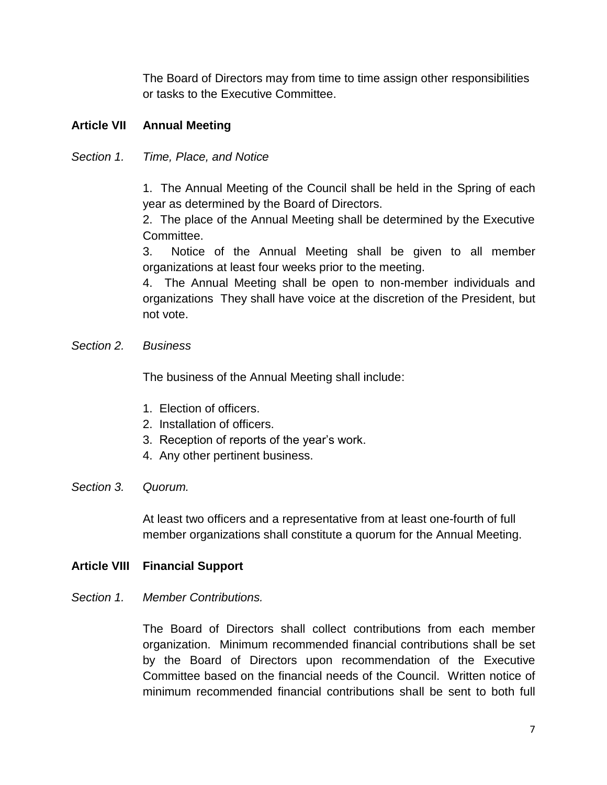The Board of Directors may from time to time assign other responsibilities or tasks to the Executive Committee.

## **Article VII Annual Meeting**

## *Section 1. Time, Place, and Notice*

1. The Annual Meeting of the Council shall be held in the Spring of each year as determined by the Board of Directors.

2. The place of the Annual Meeting shall be determined by the Executive Committee.

3. Notice of the Annual Meeting shall be given to all member organizations at least four weeks prior to the meeting.

4. The Annual Meeting shall be open to non-member individuals and organizations They shall have voice at the discretion of the President, but not vote.

*Section 2. Business*

The business of the Annual Meeting shall include:

- 1. Election of officers.
- 2. Installation of officers.
- 3. Reception of reports of the year's work.
- 4. Any other pertinent business.
- *Section 3. Quorum.*

At least two officers and a representative from at least one-fourth of full member organizations shall constitute a quorum for the Annual Meeting.

### **Article VIII Financial Support**

*Section 1. Member Contributions.*

The Board of Directors shall collect contributions from each member organization. Minimum recommended financial contributions shall be set by the Board of Directors upon recommendation of the Executive Committee based on the financial needs of the Council. Written notice of minimum recommended financial contributions shall be sent to both full